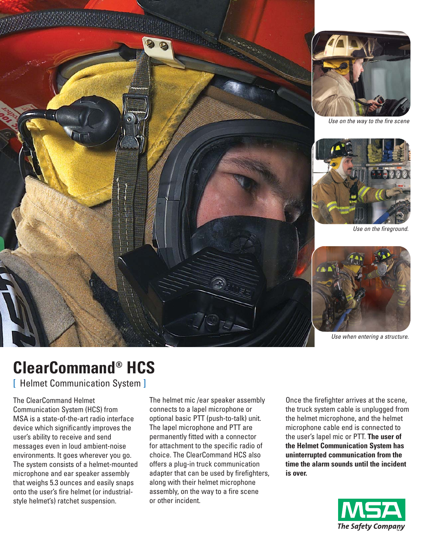

# **ClearCommand® HCS**

[ Helmet Communication System ]

The ClearCommand Helmet Communication System (HCS) from MSA is a state-of-the-art radio interface device which significantly improves the user's ability to receive and send messages even in loud ambient-noise environments. It goes wherever you go. The system consists of a helmet-mounted microphone and ear speaker assembly that weighs 5.3 ounces and easily snaps onto the user's fire helmet (or industrialstyle helmet's) ratchet suspension.

The helmet mic /ear speaker assembly connects to a lapel microphone or optional basic PTT (push-to-talk) unit. The lapel microphone and PTT are permanently fitted with a connector for attachment to the specific radio of choice. The ClearCommand HCS also offers a plug-in truck communication adapter that can be used by firefighters, along with their helmet microphone assembly, on the way to a fire scene or other incident.

Once the firefighter arrives at the scene, the truck system cable is unplugged from the helmet microphone, and the helmet microphone cable end is connected to the user's lapel mic or PTT. **The user of the Helmet Communication System has uninterrupted communication from the time the alarm sounds until the incident is over.**

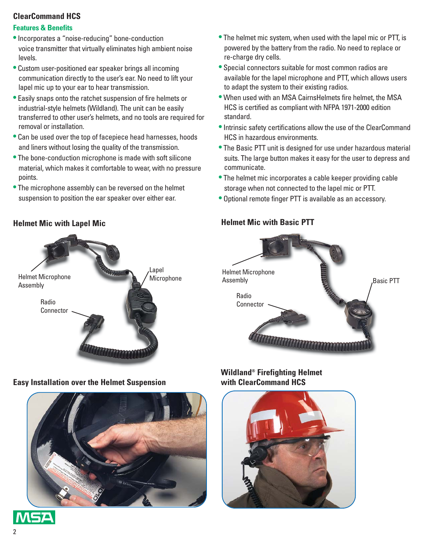# **ClearCommand HCS**

## **Features & Benefits**

- •Incorporates a "noise-reducing" bone-conduction voice transmitter that virtually eliminates high ambient noise levels.
- Custom user-positioned ear speaker brings all incoming communication directly to the user's ear. No need to lift your lapel mic up to your ear to hear transmission.
- Easily snaps onto the ratchet suspension of fire helmets or industrial-style helmets (Wildland). The unit can be easily transferred to other user's helmets, and no tools are required for removal or installation.
- Can be used over the top of facepiece head harnesses, hoods and liners without losing the quality of the transmission.
- The bone-conduction microphone is made with soft silicone material, which makes it comfortable to wear, with no pressure points.
- The microphone assembly can be reversed on the helmet suspension to position the ear speaker over either ear.
- The helmet mic system, when used with the lapel mic or PTT, is powered by the battery from the radio. No need to replace or re-charge dry cells.
- Special connectors suitable for most common radios are available for the lapel microphone and PTT, which allows users to adapt the system to their existing radios.
- When used with an MSA CairnsHelmets fire helmet, the MSA HCS is certified as compliant with NFPA 1971-2000 edition standard.
- •Intrinsic safety certifications allow the use of the ClearCommand HCS in hazardous environments.
- The Basic PTT unit is designed for use under hazardous material suits. The large button makes it easy for the user to depress and communicate.
- The helmet mic incorporates a cable keeper providing cable storage when not connected to the lapel mic or PTT.
- Optional remote finger PTT is available as an accessory.

## **Helmet Mic with Basic PTT**



## **Wildland® Firefighting Helmet with ClearCommand HCS**



## **Helmet Mic with Lapel Mic**



**Easy Installation over the Helmet Suspension**



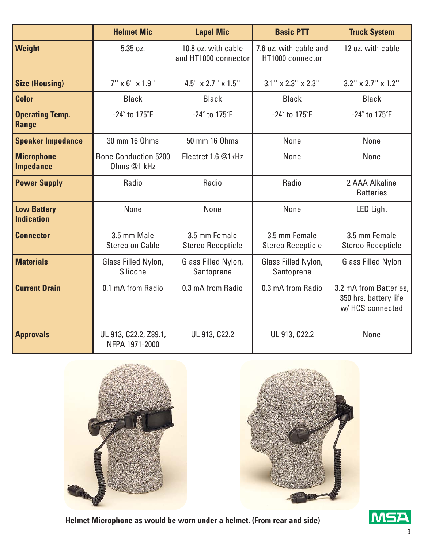|                                         | <b>Helmet Mic</b>                          | <b>Lapel Mic</b>                            | <b>Basic PTT</b>                           | <b>Truck System</b>                                                |
|-----------------------------------------|--------------------------------------------|---------------------------------------------|--------------------------------------------|--------------------------------------------------------------------|
| Weight                                  | 5.35 oz.                                   | 10.8 oz. with cable<br>and HT1000 connector | 7.6 oz. with cable and<br>HT1000 connector | 12 oz. with cable                                                  |
| <b>Size (Housing)</b>                   | $7''$ x 6" x 1.9"                          | $4.5$ " x 2.7" x 1.5"                       | $3.1''$ x $2.3''$ x $2.3''$                | $3.2$ " x $2.7$ " x $1.2$ "                                        |
| <b>Color</b>                            | <b>Black</b>                               | <b>Black</b>                                | <b>Black</b>                               | <b>Black</b>                                                       |
| <b>Operating Temp.</b><br><b>Range</b>  | $-24^\circ$ to 175 $\rm ^{\circ}F$         | $-24^\circ$ to 175 $\degree$ F              | $-24^\circ$ to $175^\circ F$               | $-24^\circ$ to $175^\circ F$                                       |
| <b>Speaker Impedance</b>                | 30 mm 16 Ohms                              | 50 mm 16 Ohms                               | None                                       | None                                                               |
| <b>Microphone</b><br><b>Impedance</b>   | <b>Bone Conduction 5200</b><br>Ohms @1 kHz | Electret 1.6 @1kHz                          | None                                       | None                                                               |
| <b>Power Supply</b>                     | Radio                                      | Radio                                       | Radio                                      | 2 AAA Alkaline<br><b>Batteries</b>                                 |
| <b>Low Battery</b><br><b>Indication</b> | None                                       | None                                        | None                                       | <b>LED Light</b>                                                   |
| <b>Connector</b>                        | 3.5 mm Male<br>Stereo on Cable             | 3.5 mm Female<br><b>Stereo Recepticle</b>   | 3.5 mm Female<br><b>Stereo Recepticle</b>  | 3.5 mm Female<br><b>Stereo Recepticle</b>                          |
| <b>Materials</b>                        | Glass Filled Nylon,<br><b>Silicone</b>     | Glass Filled Nylon,<br>Santoprene           | Glass Filled Nylon,<br>Santoprene          | <b>Glass Filled Nylon</b>                                          |
| <b>Current Drain</b>                    | 0.1 mA from Radio                          | 0.3 mA from Radio                           | 0.3 mA from Radio                          | 3.2 mA from Batteries.<br>350 hrs. battery life<br>w/HCS connected |
| <b>Approvals</b>                        | UL 913, C22.2, Z89.1,<br>NFPA 1971-2000    | UL 913, C22.2                               | UL 913, C22.2                              | None                                                               |





**Helmet Microphone as would be worn under a helmet. (From rear and side)**